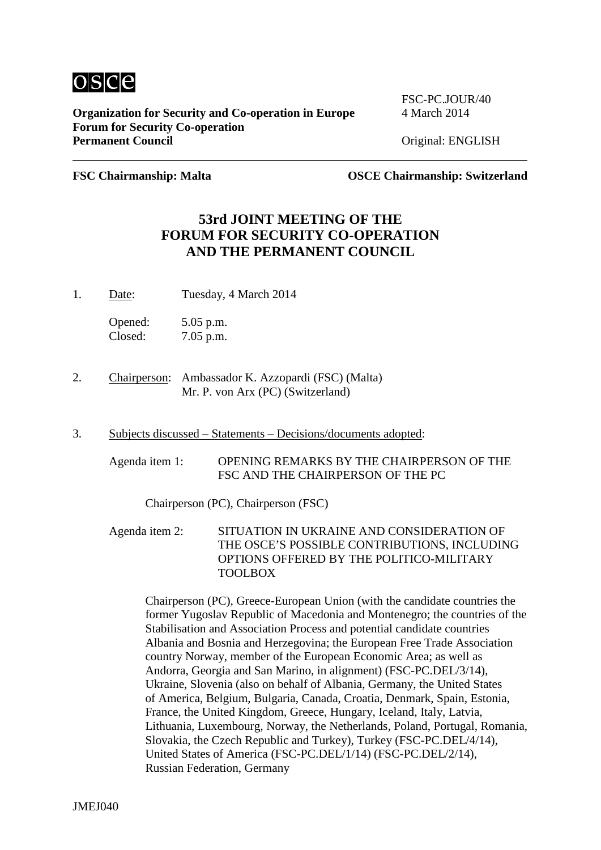

**Organization for Security and Co-operation in Europe** 4 March 2014 **Forum for Security Co-operation** Permanent Council **Council Council Permanent Council Original: ENGLISH** 

FSC-PC.JOUR/40

**FSC Chairmanship: Malta OSCE Chairmanship: Switzerland**

## **53rd JOINT MEETING OF THE FORUM FOR SECURITY CO-OPERATION AND THE PERMANENT COUNCIL**

1. Date: Tuesday, 4 March 2014

Opened: 5.05 p.m. Closed: 7.05 p.m.

- 2. Chairperson: Ambassador K. Azzopardi (FSC) (Malta) Mr. P. von Arx (PC) (Switzerland)
- 3. Subjects discussed Statements Decisions/documents adopted:
	- Agenda item 1: OPENING REMARKS BY THE CHAIRPERSON OF THE FSC AND THE CHAIRPERSON OF THE PC

Chairperson (PC), Chairperson (FSC)

Agenda item 2: SITUATION IN UKRAINE AND CONSIDERATION OF THE OSCE'S POSSIBLE CONTRIBUTIONS, INCLUDING OPTIONS OFFERED BY THE POLITICO-MILITARY TOOLBOX

Chairperson (PC), Greece-European Union (with the candidate countries the former Yugoslav Republic of Macedonia and Montenegro; the countries of the Stabilisation and Association Process and potential candidate countries Albania and Bosnia and Herzegovina; the European Free Trade Association country Norway, member of the European Economic Area; as well as Andorra, Georgia and San Marino, in alignment) (FSC-PC.DEL/3/14), Ukraine, Slovenia (also on behalf of Albania, Germany, the United States of America, Belgium, Bulgaria, Canada, Croatia, Denmark, Spain, Estonia, France, the United Kingdom, Greece, Hungary, Iceland, Italy, Latvia, Lithuania, Luxembourg, Norway, the Netherlands, Poland, Portugal, Romania, Slovakia, the Czech Republic and Turkey), Turkey (FSC-PC.DEL/4/14), United States of America (FSC-PC.DEL/1/14) (FSC-PC.DEL/2/14), Russian Federation, Germany